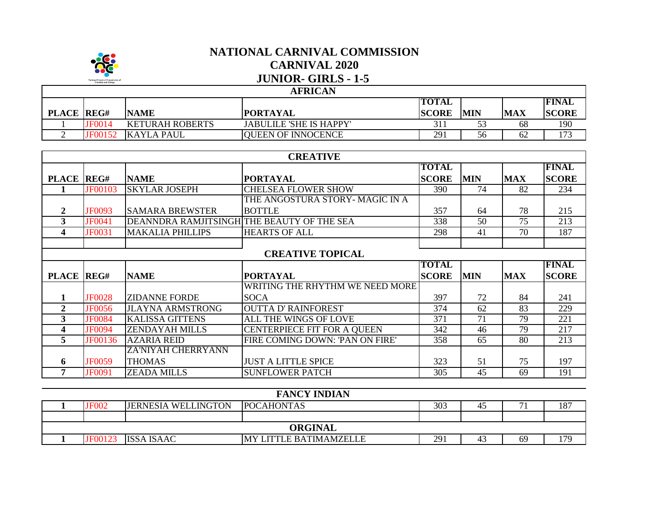

## **NATIONAL CARNIVAL COMMISSION CARNIVAL 2020 JUNIOR- GIRLS - 1-5**

## **AFRICAN**

| <b>PLACE</b> | REG#           | <b>NAME</b>            | <b>PORTAYAL</b>                | <b>TOTAL</b><br><b>SCORE</b> | <b>MIN</b> | <b>MAX</b> | <b>IFINAL</b><br><b>SCORE</b> |
|--------------|----------------|------------------------|--------------------------------|------------------------------|------------|------------|-------------------------------|
|              | <b>IF0014</b>  | <b>KETURAH ROBERTS</b> | <b>JABULILE 'SHE IS HAPPY'</b> |                              |            | 68         | 190                           |
|              | <b>IF00152</b> | KAYLA PAUL             | <b>QUEEN OF INNOCENCE</b>      | 291                          | ჂႩ         | 62         | 172<br>17J                    |

| <b>CREATIVE</b>         |                |                                            |                                    |              |            |            |              |  |
|-------------------------|----------------|--------------------------------------------|------------------------------------|--------------|------------|------------|--------------|--|
|                         |                |                                            |                                    | <b>TOTAL</b> |            |            | <b>FINAL</b> |  |
| <b>PLACE REG#</b>       |                | <b>NAME</b>                                | <b>PORTAYAL</b>                    | <b>SCORE</b> | <b>MIN</b> | <b>MAX</b> | <b>SCORE</b> |  |
|                         | <b>JF00103</b> | <b>SKYLAR JOSEPH</b>                       | <b>CHELSEA FLOWER SHOW</b>         | 390          | 74         | 82         | 234          |  |
|                         |                |                                            | THE ANGOSTURA STORY- MAGIC IN A    |              |            |            |              |  |
| $\overline{2}$          | JF0093         | <b>SAMARA BREWSTER</b>                     | <b>BOTTLE</b>                      | 357          | 64         | 78         | 215          |  |
| $\mathbf{3}$            | JF0041         | DEANNDRA RAMJITSINGH THE BEAUTY OF THE SEA |                                    | 338          | 50         | 75         | 213          |  |
| 4                       | JF0031         | <b>MAKALIA PHILLIPS</b>                    | <b>HEARTS OF ALL</b>               | 298          | 41         | 70         | 187          |  |
|                         |                |                                            |                                    |              |            |            |              |  |
|                         |                |                                            | <b>CREATIVE TOPICAL</b>            |              |            |            |              |  |
|                         |                |                                            |                                    | <b>TOTAL</b> |            |            | <b>FINAL</b> |  |
| PLACE REG#              |                | <b>NAME</b>                                | <b>PORTAYAL</b>                    | <b>SCORE</b> | <b>MIN</b> | <b>MAX</b> | <b>SCORE</b> |  |
|                         |                |                                            | WRITING THE RHYTHM WE NEED MORE    |              |            |            |              |  |
|                         | <b>JF0028</b>  | <b>ZIDANNE FORDE</b>                       | <b>SOCA</b>                        | 397          | 72         | 84         | 241          |  |
| $\overline{2}$          | <b>JF0056</b>  | <b>JLAYNA ARMSTRONG</b>                    | <b>OUTTA D' RAINFOREST</b>         | 374          | 62         | 83         | 229          |  |
| 3                       | <b>JF0084</b>  | <b>KALISSA GITTENS</b>                     | ALL THE WINGS OF LOVE              | 371          | 71         | 79         | 221          |  |
| 4                       | <b>JF0094</b>  | <b>ZENDAYAH MILLS</b>                      | <b>CENTERPIECE FIT FOR A QUEEN</b> | 342          | 46         | 79         | 217          |  |
| $\overline{\mathbf{5}}$ | JF00136        | <b>AZARIA REID</b>                         | FIRE COMING DOWN: 'PAN ON FIRE'    | 358          | 65         | 80         | 213          |  |
|                         |                | ZA'NIYAH CHERRYANN                         |                                    |              |            |            |              |  |
| 6                       | JF0059         | <b>THOMAS</b>                              | <b>JUST A LITTLE SPICE</b>         | 323          | 51         | 75         | 197          |  |
| 7                       | <b>JF0091</b>  | <b>ZEADA MILLS</b>                         | <b>SUNFLOWER PATCH</b>             | 305          | 45         | 69         | 191          |  |

|                | <b>FANCY INDIAN</b> |                            |                         |     |    |                |     |
|----------------|---------------------|----------------------------|-------------------------|-----|----|----------------|-----|
|                | JF002               | <b>JERNESIA WELLINGTON</b> | <b>POCAHONTAS</b>       | 303 | 45 | $\overline{ }$ | 187 |
|                |                     |                            |                         |     |    |                |     |
| <b>ORGINAL</b> |                     |                            |                         |     |    |                |     |
|                | JF00123             | <b>ISSA ISAAC</b>          | IMY LITTLE BATIMAMZELLE | 291 | 45 | 69             | 179 |